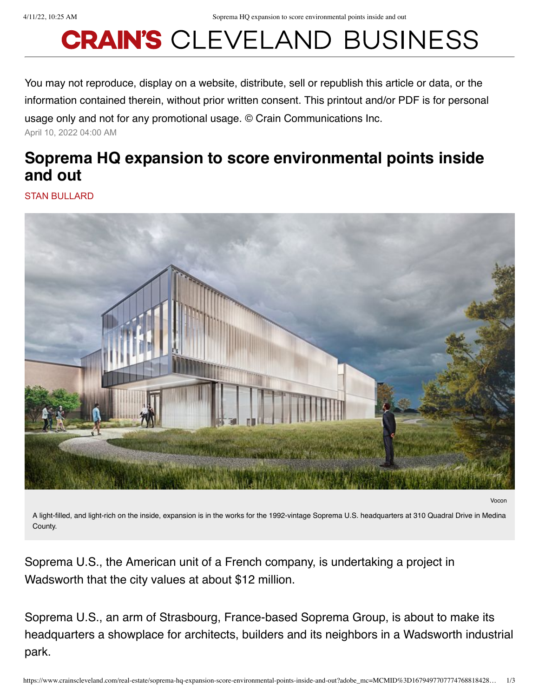## **CRAIN'S CLEVELAND BUSINESS**

You may not reproduce, display on a website, distribute, sell or republish this article or data, or the information contained therein, without prior written consent. This printout and/or PDF is for personal usage only and not for any promotional usage. © Crain Communications Inc.

April 10, 2022 04:00 AM

## **Soprema HQ expansion to score environmental points inside and out**

STAN BULLARD



Vocon

A light-filled, and light-rich on the inside, expansion is in the works for the 1992-vintage Soprema U.S. headquarters at 310 Quadral Drive in Medina County.

Soprema U.S., the American unit of a French company, is undertaking a project in Wadsworth that the city values at about \$12 million.

Soprema U.S., an arm of Strasbourg, France-based Soprema Group, is about to make its headquarters a showplace for architects, builders and its neighbors in a Wadsworth industrial park.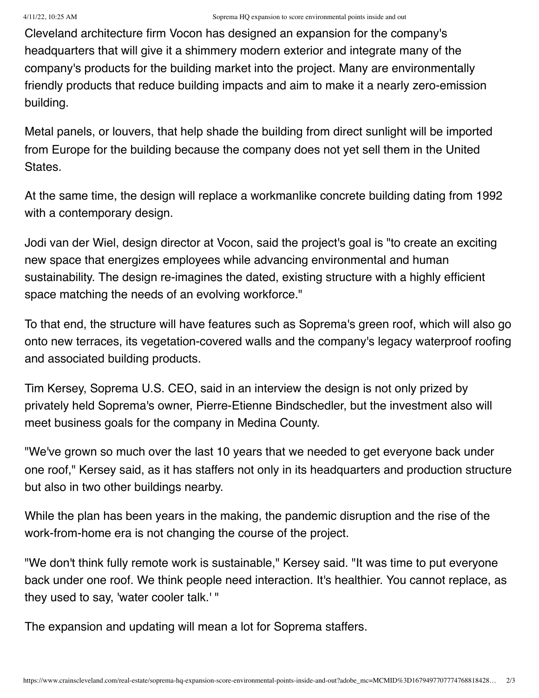Cleveland architecture firm Vocon has designed an expansion for the company's headquarters that will give it a shimmery modern exterior and integrate many of the company's products for the building market into the project. Many are environmentally friendly products that reduce building impacts and aim to make it a nearly zero-emission building.

Metal panels, or louvers, that help shade the building from direct sunlight will be imported from Europe for the building because the company does not yet sell them in the United States.

At the same time, the design will replace a workmanlike concrete building dating from 1992 with a contemporary design.

Jodi van der Wiel, design director at Vocon, said the project's goal is "to create an exciting new space that energizes employees while advancing environmental and human sustainability. The design re-imagines the dated, existing structure with a highly efficient space matching the needs of an evolving workforce."

To that end, the structure will have features such as Soprema's green roof, which will also go onto new terraces, its vegetation-covered walls and the company's legacy waterproof roofing and associated building products.

Tim Kersey, Soprema U.S. CEO, said in an interview the design is not only prized by privately held Soprema's owner, Pierre-Etienne Bindschedler, but the investment also will meet business goals for the company in Medina County.

"We've grown so much over the last 10 years that we needed to get everyone back under one roof," Kersey said, as it has staffers not only in its headquarters and production structure but also in two other buildings nearby.

While the plan has been years in the making, the pandemic disruption and the rise of the work-from-home era is not changing the course of the project.

"We don't think fully remote work is sustainable," Kersey said. "It was time to put everyone back under one roof. We think people need interaction. It's healthier. You cannot replace, as they used to say, 'water cooler talk.' "

The expansion and updating will mean a lot for Soprema staffers.